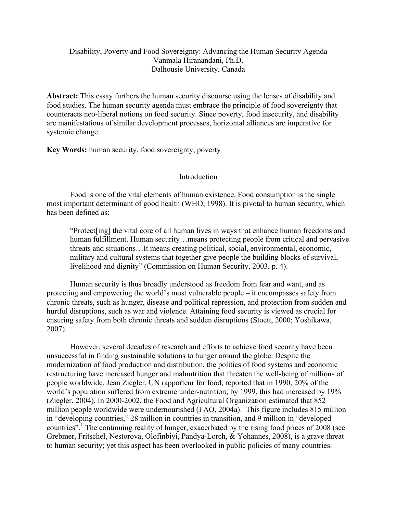# Disability, Poverty and Food Sovereignty: Advancing the Human Security Agenda Vanmala Hiranandani, Ph.D. Dalhousie University, Canada

**Abstract:** This essay furthers the human security discourse using the lenses of disability and food studies. The human security agenda must embrace the principle of food sovereignty that counteracts neo-liberal notions on food security. Since poverty, food insecurity, and disability are manifestations of similar development processes, horizontal alliances are imperative for systemic change.

**Key Words:** human security, food sovereignty, poverty

## **Introduction**

Food is one of the vital elements of human existence. Food consumption is the single most important determinant of good health (WHO, 1998). It is pivotal to human security, which has been defined as:

"Protect[ing] the vital core of all human lives in ways that enhance human freedoms and human fulfillment. Human security…means protecting people from critical and pervasive threats and situations…It means creating political, social, environmental, economic, military and cultural systems that together give people the building blocks of survival, livelihood and dignity" (Commission on Human Security, 2003, p. 4).

Human security is thus broadly understood as freedom from fear and want, and as protecting and empowering the world's most vulnerable people – it encompasses safety from chronic threats, such as hunger, disease and political repression, and protection from sudden and hurtful disruptions, such as war and violence. Attaining food security is viewed as crucial for ensuring safety from both chronic threats and sudden disruptions (Stoett, 2000; Yoshikawa, 2007).

However, several decades of research and efforts to achieve food security have been unsuccessful in finding sustainable solutions to hunger around the globe. Despite the modernization of food production and distribution, the politics of food systems and economic restructuring have increased hunger and malnutrition that threaten the well-being of millions of people worldwide. Jean Ziegler, UN rapporteur for food, reported that in 1990, 20% of the world's population suffered from extreme under-nutrition; by 1999, this had increased by 19% (Ziegler, 2004). In 2000-2002, the Food and Agricultural Organization estimated that 852 million people worldwide were undernourished (FAO, 2004a). This figure includes 815 million in "developing countries," 28 million in countries in transition, and 9 million in "developed countries".<sup>1</sup> The continuing reality of hunger, exacerbated by the rising food prices of 2008 (see Grebmer, Fritschel, Nestorova, Olofinbiyi, Pandya-Lorch, & Yohannes, 2008), is a grave threat to human security; yet this aspect has been overlooked in public policies of many countries.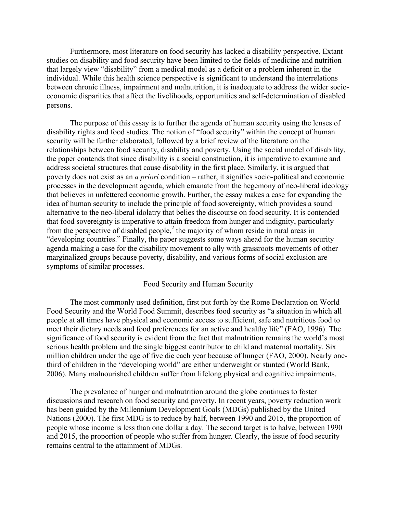Furthermore, most literature on food security has lacked a disability perspective. Extant studies on disability and food security have been limited to the fields of medicine and nutrition that largely view "disability" from a medical model as a deficit or a problem inherent in the individual. While this health science perspective is significant to understand the interrelations between chronic illness, impairment and malnutrition, it is inadequate to address the wider socioeconomic disparities that affect the livelihoods, opportunities and self-determination of disabled persons.

The purpose of this essay is to further the agenda of human security using the lenses of disability rights and food studies. The notion of "food security" within the concept of human security will be further elaborated, followed by a brief review of the literature on the relationships between food security, disability and poverty. Using the social model of disability, the paper contends that since disability is a social construction, it is imperative to examine and address societal structures that cause disability in the first place. Similarly, it is argued that poverty does not exist as an *a priori* condition – rather, it signifies socio-political and economic processes in the development agenda, which emanate from the hegemony of neo-liberal ideology that believes in unfettered economic growth. Further, the essay makes a case for expanding the idea of human security to include the principle of food sovereignty, which provides a sound alternative to the neo-liberal idolatry that belies the discourse on food security. It is contended that food sovereignty is imperative to attain freedom from hunger and indignity, particularly from the perspective of disabled people, $<sup>2</sup>$  the majority of whom reside in rural areas in</sup> "developing countries." Finally, the paper suggests some ways ahead for the human security agenda making a case for the disability movement to ally with grassroots movements of other marginalized groups because poverty, disability, and various forms of social exclusion are symptoms of similar processes.

## Food Security and Human Security

The most commonly used definition, first put forth by the Rome Declaration on World Food Security and the World Food Summit, describes food security as "a situation in which all people at all times have physical and economic access to sufficient, safe and nutritious food to meet their dietary needs and food preferences for an active and healthy life" (FAO, 1996). The significance of food security is evident from the fact that malnutrition remains the world's most serious health problem and the single biggest contributor to child and maternal mortality. Six million children under the age of five die each year because of hunger (FAO, 2000). Nearly onethird of children in the "developing world" are either underweight or stunted (World Bank, 2006). Many malnourished children suffer from lifelong physical and cognitive impairments.

The prevalence of hunger and malnutrition around the globe continues to foster discussions and research on food security and poverty. In recent years, poverty reduction work has been guided by the Millennium Development Goals (MDGs) published by the United Nations (2000). The first MDG is to reduce by half, between 1990 and 2015, the proportion of people whose income is less than one dollar a day. The second target is to halve, between 1990 and 2015, the proportion of people who suffer from hunger. Clearly, the issue of food security remains central to the attainment of MDGs.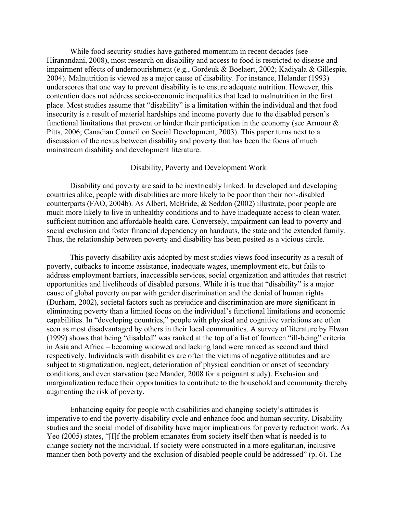While food security studies have gathered momentum in recent decades (see Hiranandani, 2008), most research on disability and access to food is restricted to disease and impairment effects of undernourishment (e.g., Gordeuk & Boelaert, 2002; Kadiyala & Gillespie, 2004). Malnutrition is viewed as a major cause of disability. For instance, Helander (1993) underscores that one way to prevent disability is to ensure adequate nutrition. However, this contention does not address socio-economic inequalities that lead to malnutrition in the first place. Most studies assume that "disability" is a limitation within the individual and that food insecurity is a result of material hardships and income poverty due to the disabled person's functional limitations that prevent or hinder their participation in the economy (see Armour  $\&$ Pitts, 2006; Canadian Council on Social Development, 2003). This paper turns next to a discussion of the nexus between disability and poverty that has been the focus of much mainstream disability and development literature.

## Disability, Poverty and Development Work

Disability and poverty are said to be inextricably linked. In developed and developing countries alike, people with disabilities are more likely to be poor than their non-disabled counterparts (FAO, 2004b). As Albert, McBride, & Seddon (2002) illustrate, poor people are much more likely to live in unhealthy conditions and to have inadequate access to clean water, sufficient nutrition and affordable health care. Conversely, impairment can lead to poverty and social exclusion and foster financial dependency on handouts, the state and the extended family. Thus, the relationship between poverty and disability has been posited as a vicious circle.

This poverty-disability axis adopted by most studies views food insecurity as a result of poverty, cutbacks to income assistance, inadequate wages, unemployment etc, but fails to address employment barriers, inaccessible services, social organization and attitudes that restrict opportunities and livelihoods of disabled persons. While it is true that "disability" is a major cause of global poverty on par with gender discrimination and the denial of human rights (Durham, 2002), societal factors such as prejudice and discrimination are more significant in eliminating poverty than a limited focus on the individual's functional limitations and economic capabilities. In "developing countries," people with physical and cognitive variations are often seen as most disadvantaged by others in their local communities. A survey of literature by Elwan (1999) shows that being "disabled" was ranked at the top of a list of fourteen "ill-being" criteria in Asia and Africa – becoming widowed and lacking land were ranked as second and third respectively. Individuals with disabilities are often the victims of negative attitudes and are subject to stigmatization, neglect, deterioration of physical condition or onset of secondary conditions, and even starvation (see Mander, 2008 for a poignant study). Exclusion and marginalization reduce their opportunities to contribute to the household and community thereby augmenting the risk of poverty.

Enhancing equity for people with disabilities and changing society's attitudes is imperative to end the poverty-disability cycle and enhance food and human security. Disability studies and the social model of disability have major implications for poverty reduction work. As Yeo (2005) states, "[I]f the problem emanates from society itself then what is needed is to change society not the individual. If society were constructed in a more egalitarian, inclusive manner then both poverty and the exclusion of disabled people could be addressed" (p. 6). The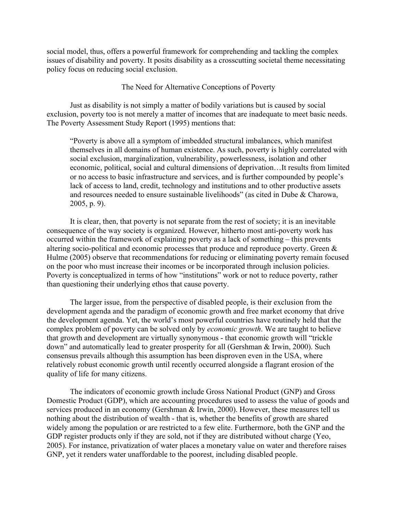social model, thus, offers a powerful framework for comprehending and tackling the complex issues of disability and poverty. It posits disability as a crosscutting societal theme necessitating policy focus on reducing social exclusion.

The Need for Alternative Conceptions of Poverty

Just as disability is not simply a matter of bodily variations but is caused by social exclusion, poverty too is not merely a matter of incomes that are inadequate to meet basic needs. The Poverty Assessment Study Report (1995) mentions that:

"Poverty is above all a symptom of imbedded structural imbalances, which manifest themselves in all domains of human existence. As such, poverty is highly correlated with social exclusion, marginalization, vulnerability, powerlessness, isolation and other economic, political, social and cultural dimensions of deprivation…It results from limited or no access to basic infrastructure and services, and is further compounded by people's lack of access to land, credit, technology and institutions and to other productive assets and resources needed to ensure sustainable livelihoods" (as cited in Dube & Charowa, 2005, p. 9).

It is clear, then, that poverty is not separate from the rest of society; it is an inevitable consequence of the way society is organized. However, hitherto most anti-poverty work has occurred within the framework of explaining poverty as a lack of something – this prevents altering socio-political and economic processes that produce and reproduce poverty. Green & Hulme (2005) observe that recommendations for reducing or eliminating poverty remain focused on the poor who must increase their incomes or be incorporated through inclusion policies. Poverty is conceptualized in terms of how "institutions" work or not to reduce poverty, rather than questioning their underlying ethos that cause poverty.

The larger issue, from the perspective of disabled people, is their exclusion from the development agenda and the paradigm of economic growth and free market economy that drive the development agenda. Yet, the world's most powerful countries have routinely held that the complex problem of poverty can be solved only by *economic growth*. We are taught to believe that growth and development are virtually synonymous - that economic growth will "trickle down" and automatically lead to greater prosperity for all (Gershman & Irwin, 2000). Such consensus prevails although this assumption has been disproven even in the USA, where relatively robust economic growth until recently occurred alongside a flagrant erosion of the quality of life for many citizens.

The indicators of economic growth include Gross National Product (GNP) and Gross Domestic Product (GDP), which are accounting procedures used to assess the value of goods and services produced in an economy (Gershman & Irwin, 2000). However, these measures tell us nothing about the distribution of wealth - that is, whether the benefits of growth are shared widely among the population or are restricted to a few elite. Furthermore, both the GNP and the GDP register products only if they are sold, not if they are distributed without charge (Yeo, 2005). For instance, privatization of water places a monetary value on water and therefore raises GNP, yet it renders water unaffordable to the poorest, including disabled people.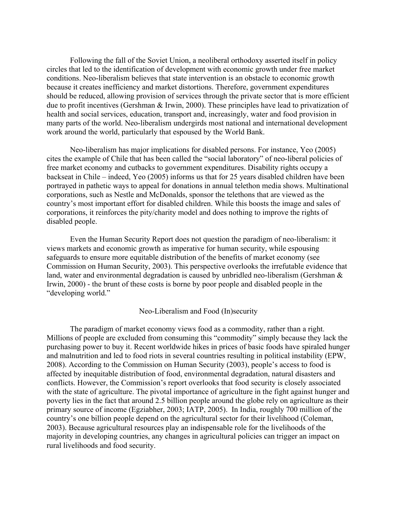Following the fall of the Soviet Union, a neoliberal orthodoxy asserted itself in policy circles that led to the identification of development with economic growth under free market conditions. Neo-liberalism believes that state intervention is an obstacle to economic growth because it creates inefficiency and market distortions. Therefore, government expenditures should be reduced, allowing provision of services through the private sector that is more efficient due to profit incentives (Gershman & Irwin, 2000). These principles have lead to privatization of health and social services, education, transport and, increasingly, water and food provision in many parts of the world. Neo-liberalism undergirds most national and international development work around the world, particularly that espoused by the World Bank.

Neo-liberalism has major implications for disabled persons. For instance, Yeo (2005) cites the example of Chile that has been called the "social laboratory" of neo-liberal policies of free market economy and cutbacks to government expenditures. Disability rights occupy a backseat in Chile – indeed, Yeo (2005) informs us that for 25 years disabled children have been portrayed in pathetic ways to appeal for donations in annual telethon media shows. Multinational corporations, such as Nestle and McDonalds, sponsor the telethons that are viewed as the country's most important effort for disabled children. While this boosts the image and sales of corporations, it reinforces the pity/charity model and does nothing to improve the rights of disabled people.

Even the Human Security Report does not question the paradigm of neo-liberalism: it views markets and economic growth as imperative for human security, while espousing safeguards to ensure more equitable distribution of the benefits of market economy (see Commission on Human Security, 2003). This perspective overlooks the irrefutable evidence that land, water and environmental degradation is caused by unbridled neo-liberalism (Gershman & Irwin, 2000) - the brunt of these costs is borne by poor people and disabled people in the "developing world."

### Neo-Liberalism and Food (In)security

The paradigm of market economy views food as a commodity, rather than a right. Millions of people are excluded from consuming this "commodity" simply because they lack the purchasing power to buy it. Recent worldwide hikes in prices of basic foods have spiraled hunger and malnutrition and led to food riots in several countries resulting in political instability (EPW, 2008). According to the Commission on Human Security (2003), people's access to food is affected by inequitable distribution of food, environmental degradation, natural disasters and conflicts. However, the Commission's report overlooks that food security is closely associated with the state of agriculture. The pivotal importance of agriculture in the fight against hunger and poverty lies in the fact that around 2.5 billion people around the globe rely on agriculture as their primary source of income (Egziabher, 2003; IATP, 2005). In India, roughly 700 million of the country's one billion people depend on the agricultural sector for their livelihood (Coleman, 2003). Because agricultural resources play an indispensable role for the livelihoods of the majority in developing countries, any changes in agricultural policies can trigger an impact on rural livelihoods and food security.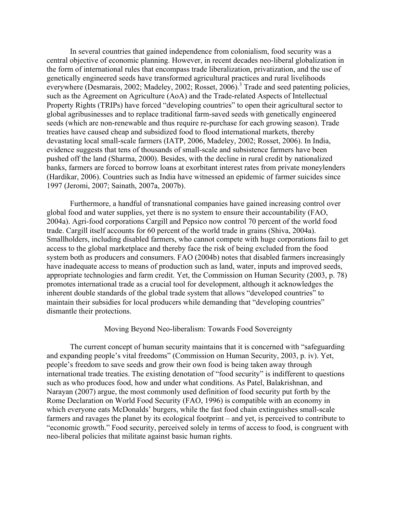In several countries that gained independence from colonialism, food security was a central objective of economic planning. However, in recent decades neo-liberal globalization in the form of international rules that encompass trade liberalization, privatization, and the use of genetically engineered seeds have transformed agricultural practices and rural livelihoods everywhere (Desmarais, 2002; Madeley, 2002; Rosset, 2006).<sup>3</sup> Trade and seed patenting policies, such as the Agreement on Agriculture (AoA) and the Trade-related Aspects of Intellectual Property Rights (TRIPs) have forced "developing countries" to open their agricultural sector to global agribusinesses and to replace traditional farm-saved seeds with genetically engineered seeds (which are non-renewable and thus require re-purchase for each growing season). Trade treaties have caused cheap and subsidized food to flood international markets, thereby devastating local small-scale farmers (IATP, 2006, Madeley, 2002; Rosset, 2006). In India, evidence suggests that tens of thousands of small-scale and subsistence farmers have been pushed off the land (Sharma, 2000). Besides, with the decline in rural credit by nationalized banks, farmers are forced to borrow loans at exorbitant interest rates from private moneylenders (Hardikar, 2006). Countries such as India have witnessed an epidemic of farmer suicides since 1997 (Jeromi, 2007; Sainath, 2007a, 2007b).

Furthermore, a handful of transnational companies have gained increasing control over global food and water supplies, yet there is no system to ensure their accountability (FAO, 2004a). Agri-food corporations Cargill and Pepsico now control 70 percent of the world food trade. Cargill itself accounts for 60 percent of the world trade in grains (Shiva, 2004a). Smallholders, including disabled farmers, who cannot compete with huge corporations fail to get access to the global marketplace and thereby face the risk of being excluded from the food system both as producers and consumers. FAO (2004b) notes that disabled farmers increasingly have inadequate access to means of production such as land, water, inputs and improved seeds, appropriate technologies and farm credit. Yet, the Commission on Human Security (2003, p. 78) promotes international trade as a crucial tool for development, although it acknowledges the inherent double standards of the global trade system that allows "developed countries" to maintain their subsidies for local producers while demanding that "developing countries" dismantle their protections.

## Moving Beyond Neo-liberalism: Towards Food Sovereignty

The current concept of human security maintains that it is concerned with "safeguarding and expanding people's vital freedoms" (Commission on Human Security, 2003, p. iv). Yet, people's freedom to save seeds and grow their own food is being taken away through international trade treaties. The existing denotation of "food security" is indifferent to questions such as who produces food, how and under what conditions. As Patel, Balakrishnan, and Narayan (2007) argue, the most commonly used definition of food security put forth by the Rome Declaration on World Food Security (FAO, 1996) is compatible with an economy in which everyone eats McDonalds' burgers, while the fast food chain extinguishes small-scale farmers and ravages the planet by its ecological footprint – and yet, is perceived to contribute to "economic growth." Food security, perceived solely in terms of access to food, is congruent with neo-liberal policies that militate against basic human rights.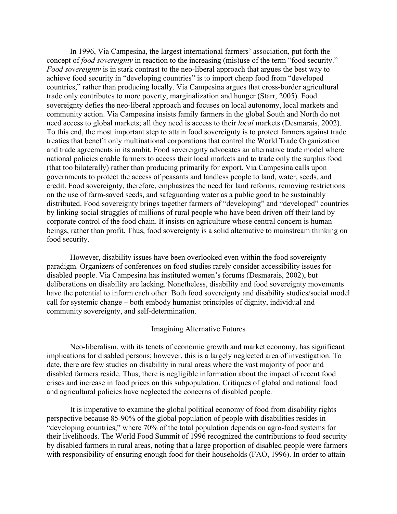In 1996, Via Campesina, the largest international farmers' association, put forth the concept of *food sovereignty* in reaction to the increasing (mis)use of the term "food security." *Food sovereignty* is in stark contrast to the neo-liberal approach that argues the best way to achieve food security in "developing countries" is to import cheap food from "developed countries," rather than producing locally. Via Campesina argues that cross-border agricultural trade only contributes to more poverty, marginalization and hunger (Starr, 2005). Food sovereignty defies the neo-liberal approach and focuses on local autonomy, local markets and community action. Via Campesina insists family farmers in the global South and North do not need access to global markets; all they need is access to their *local* markets (Desmarais, 2002). To this end, the most important step to attain food sovereignty is to protect farmers against trade treaties that benefit only multinational corporations that control the World Trade Organization and trade agreements in its ambit. Food sovereignty advocates an alternative trade model where national policies enable farmers to access their local markets and to trade only the surplus food (that too bilaterally) rather than producing primarily for export. Via Campesina calls upon governments to protect the access of peasants and landless people to land, water, seeds, and credit. Food sovereignty, therefore, emphasizes the need for land reforms, removing restrictions on the use of farm-saved seeds, and safeguarding water as a public good to be sustainably distributed. Food sovereignty brings together farmers of "developing" and "developed" countries by linking social struggles of millions of rural people who have been driven off their land by corporate control of the food chain. It insists on agriculture whose central concern is human beings, rather than profit. Thus, food sovereignty is a solid alternative to mainstream thinking on food security.

However, disability issues have been overlooked even within the food sovereignty paradigm. Organizers of conferences on food studies rarely consider accessibility issues for disabled people. Via Campesina has instituted women's forums (Desmarais, 2002), but deliberations on disability are lacking. Nonetheless, disability and food sovereignty movements have the potential to inform each other. Both food sovereignty and disability studies/social model call for systemic change – both embody humanist principles of dignity, individual and community sovereignty, and self-determination.

#### Imagining Alternative Futures

Neo-liberalism, with its tenets of economic growth and market economy, has significant implications for disabled persons; however, this is a largely neglected area of investigation. To date, there are few studies on disability in rural areas where the vast majority of poor and disabled farmers reside. Thus, there is negligible information about the impact of recent food crises and increase in food prices on this subpopulation. Critiques of global and national food and agricultural policies have neglected the concerns of disabled people.

It is imperative to examine the global political economy of food from disability rights perspective because 85-90% of the global population of people with disabilities resides in "developing countries," where 70% of the total population depends on agro-food systems for their livelihoods. The World Food Summit of 1996 recognized the contributions to food security by disabled farmers in rural areas, noting that a large proportion of disabled people were farmers with responsibility of ensuring enough food for their households (FAO, 1996). In order to attain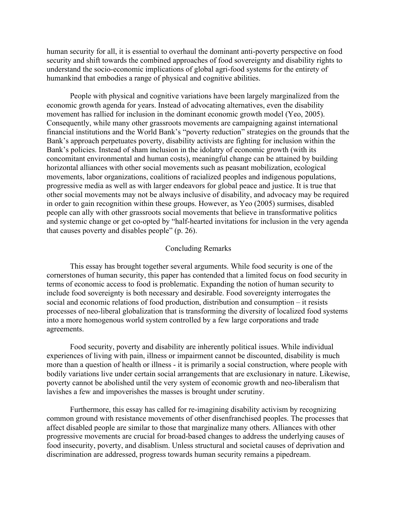human security for all, it is essential to overhaul the dominant anti-poverty perspective on food security and shift towards the combined approaches of food sovereignty and disability rights to understand the socio-economic implications of global agri-food systems for the entirety of humankind that embodies a range of physical and cognitive abilities.

People with physical and cognitive variations have been largely marginalized from the economic growth agenda for years. Instead of advocating alternatives, even the disability movement has rallied for inclusion in the dominant economic growth model (Yeo, 2005). Consequently, while many other grassroots movements are campaigning against international financial institutions and the World Bank's "poverty reduction" strategies on the grounds that the Bank's approach perpetuates poverty, disability activists are fighting for inclusion within the Bank's policies. Instead of sham inclusion in the idolatry of economic growth (with its concomitant environmental and human costs), meaningful change can be attained by building horizontal alliances with other social movements such as peasant mobilization, ecological movements, labor organizations, coalitions of racialized peoples and indigenous populations, progressive media as well as with larger endeavors for global peace and justice. It is true that other social movements may not be always inclusive of disability, and advocacy may be required in order to gain recognition within these groups. However, as Yeo (2005) surmises, disabled people can ally with other grassroots social movements that believe in transformative politics and systemic change or get co-opted by "half-hearted invitations for inclusion in the very agenda that causes poverty and disables people" (p. 26).

#### Concluding Remarks

This essay has brought together several arguments. While food security is one of the cornerstones of human security, this paper has contended that a limited focus on food security in terms of economic access to food is problematic. Expanding the notion of human security to include food sovereignty is both necessary and desirable. Food sovereignty interrogates the social and economic relations of food production, distribution and consumption – it resists processes of neo-liberal globalization that is transforming the diversity of localized food systems into a more homogenous world system controlled by a few large corporations and trade agreements.

Food security, poverty and disability are inherently political issues. While individual experiences of living with pain, illness or impairment cannot be discounted, disability is much more than a question of health or illness - it is primarily a social construction, where people with bodily variations live under certain social arrangements that are exclusionary in nature. Likewise, poverty cannot be abolished until the very system of economic growth and neo-liberalism that lavishes a few and impoverishes the masses is brought under scrutiny.

Furthermore, this essay has called for re-imagining disability activism by recognizing common ground with resistance movements of other disenfranchised peoples. The processes that affect disabled people are similar to those that marginalize many others. Alliances with other progressive movements are crucial for broad-based changes to address the underlying causes of food insecurity, poverty, and disablism. Unless structural and societal causes of deprivation and discrimination are addressed, progress towards human security remains a pipedream.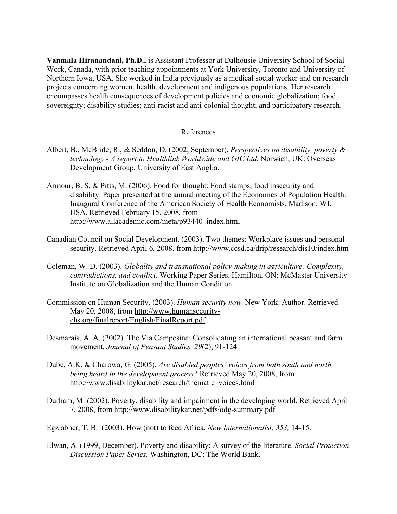**Vanmala Hiranandani, Ph.D.,** is Assistant Professor at Dalhousie University School of Social Work, Canada, with prior teaching appointments at York University, Toronto and University of Northern Iowa, USA. She worked in India previously as a medical social worker and on research projects concerning women, health, development and indigenous populations. Her research encompasses health consequences of development policies and economic globalization; food sovereignty; disability studies; anti-racist and anti-colonial thought; and participatory research.

## References

- Albert, B., McBride, R., & Seddon, D. (2002, September). *Perspectives on disability, poverty & technology - A report to Healthlink Worldwide and GIC Ltd.* Norwich, UK: Overseas Development Group, University of East Anglia.
- Armour, B. S. & Pitts, M. (2006). Food for thought: Food stamps, food insecurity and disability. Paper presented at the annual meeting of the Economics of Population Health: Inaugural Conference of the American Society of Health Economists, Madison, WI, USA. Retrieved February 15, 2008, from http://www.allacademic.com/meta/p93440\_index.html
- Canadian Council on Social Development. (2003). Two themes: Workplace issues and personal security. Retrieved April 6, 2008, from http://www.ccsd.ca/drip/research/dis10/index.htm
- Coleman, W. D. (2003). *Globality and transnational policy-making in agriculture: Complexity, contradictions, and conflict.* Working Paper Series. Hamilton, ON: McMaster University Institute on Globalization and the Human Condition.
- Commission on Human Security. (2003). *Human security now.* New York: Author. Retrieved May 20, 2008, from http://www.humansecuritychs.org/finalreport/English/FinalReport.pdf
- Desmarais, A. A. (2002). The Via Campesina: Consolidating an international peasant and farm movement. *Journal of Peasant Studies, 29*(2), 91-124.
- Dube, A.K. & Charowa, G. (2005). *Are disabled peoples' voices from both south and north being heard in the development process?* Retrieved May 20, 2008, from http://www.disabilitykar.net/research/thematic\_voices.html
- Durham, M. (2002). Poverty, disability and impairment in the developing world. Retrieved April 7, 2008, from http://www.disabilitykar.net/pdfs/odg-summary.pdf
- Egziabher, T. B. (2003). How (not) to feed Africa. *New Internationalist, 353,* 14-15.
- Elwan, A. (1999, December). Poverty and disability: A survey of the literature. *Social Protection Discussion Paper Series.* Washington, DC: The World Bank.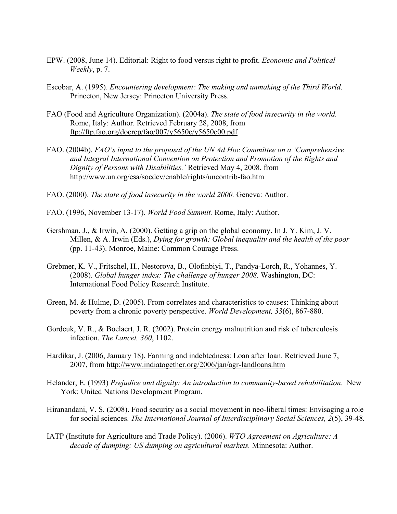- EPW. (2008, June 14). Editorial: Right to food versus right to profit. *Economic and Political Weekly*, p. 7.
- Escobar, A. (1995). *Encountering development: The making and unmaking of the Third World*. Princeton, New Jersey: Princeton University Press.
- FAO (Food and Agriculture Organization). (2004a). *The state of food insecurity in the world.*  Rome, Italy: Author. Retrieved February 28, 2008, from ftp://ftp.fao.org/docrep/fao/007/y5650e/y5650e00.pdf
- FAO. (2004b). *FAO's input to the proposal of the UN Ad Hoc Committee on a 'Comprehensive and Integral International Convention on Protection and Promotion of the Rights and Dignity of Persons with Disabilities.'* Retrieved May 4, 2008, from http://www.un.org/esa/socdev/enable/rights/uncontrib-fao.htm
- FAO. (2000). *The state of food insecurity in the world 2000.* Geneva: Author.
- FAO. (1996, November 13-17). *World Food Summit.* Rome, Italy: Author.
- Gershman, J., & Irwin, A. (2000). Getting a grip on the global economy. In J. Y. Kim, J. V. Millen, & A. Irwin (Eds.), *Dying for growth: Global inequality and the health of the poor* (pp. 11-43). Monroe, Maine: Common Courage Press.
- Grebmer, K. V., Fritschel, H., Nestorova, B., Olofinbiyi, T., Pandya-Lorch, R., Yohannes, Y. (2008). *Global hunger index: The challenge of hunger 2008.* Washington, DC: International Food Policy Research Institute.
- Green, M. & Hulme, D. (2005). From correlates and characteristics to causes: Thinking about poverty from a chronic poverty perspective. *World Development, 33*(6), 867-880.
- Gordeuk, V. R., & Boelaert, J. R. (2002). Protein energy malnutrition and risk of tuberculosis infection. *The Lancet, 360*, 1102.
- Hardikar, J. (2006, January 18). Farming and indebtedness: Loan after loan. Retrieved June 7, 2007, from http://www.indiatogether.org/2006/jan/agr-landloans.htm
- Helander, E. (1993) *Prejudice and dignity: An introduction to community-based rehabilitation*. New York: United Nations Development Program.
- Hiranandani, V. S. (2008). Food security as a social movement in neo-liberal times: Envisaging a role for social sciences. *The International Journal of Interdisciplinary Social Sciences, 2*(5), 39-48*.*
- IATP (Institute for Agriculture and Trade Policy). (2006). *WTO Agreement on Agriculture: A decade of dumping: US dumping on agricultural markets.* Minnesota: Author.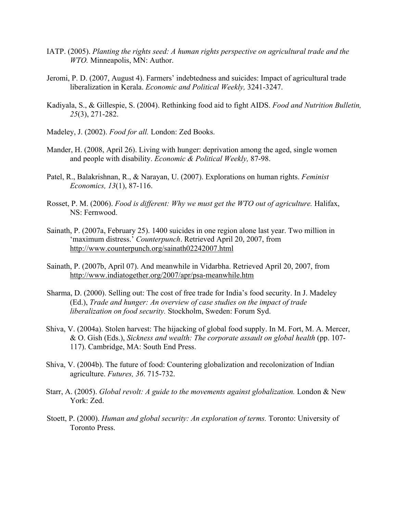- IATP. (2005). *Planting the rights seed: A human rights perspective on agricultural trade and the WTO.* Minneapolis, MN: Author.
- Jeromi, P. D. (2007, August 4). Farmers' indebtedness and suicides: Impact of agricultural trade liberalization in Kerala. *Economic and Political Weekly,* 3241-3247.
- Kadiyala, S., & Gillespie, S. (2004). Rethinking food aid to fight AIDS. *Food and Nutrition Bulletin, 25*(3), 271-282.
- Madeley, J. (2002). *Food for all.* London: Zed Books.
- Mander, H. (2008, April 26). Living with hunger: deprivation among the aged, single women and people with disability. *Economic & Political Weekly,* 87-98.
- Patel, R., Balakrishnan, R., & Narayan, U. (2007). Explorations on human rights. *Feminist Economics, 13*(1), 87-116.
- Rosset, P. M. (2006). *Food is different: Why we must get the WTO out of agriculture*. Halifax, NS: Fernwood.
- Sainath, P. (2007a, February 25). 1400 suicides in one region alone last year. Two million in 'maximum distress.' *Counterpunch*. Retrieved April 20, 2007, from http://www.counterpunch.org/sainath02242007.html
- Sainath, P. (2007b, April 07). And meanwhile in Vidarbha. Retrieved April 20, 2007, from http://www.indiatogether.org/2007/apr/psa-meanwhile.htm
- Sharma, D. (2000). Selling out: The cost of free trade for India's food security. In J. Madeley (Ed.), *Trade and hunger: An overview of case studies on the impact of trade liberalization on food security.* Stockholm, Sweden: Forum Syd.
- Shiva, V. (2004a). Stolen harvest: The hijacking of global food supply. In M. Fort, M. A. Mercer, & O. Gish (Eds.), *Sickness and wealth: The corporate assault on global health* (pp. 107- 117). Cambridge, MA: South End Press.
- Shiva, V. (2004b). The future of food: Countering globalization and recolonization of Indian agriculture. *Futures, 36*. 715-732.
- Starr, A. (2005). *Global revolt: A guide to the movements against globalization.* London & New York: Zed.
- Stoett, P. (2000). *Human and global security: An exploration of terms.* Toronto: University of Toronto Press.